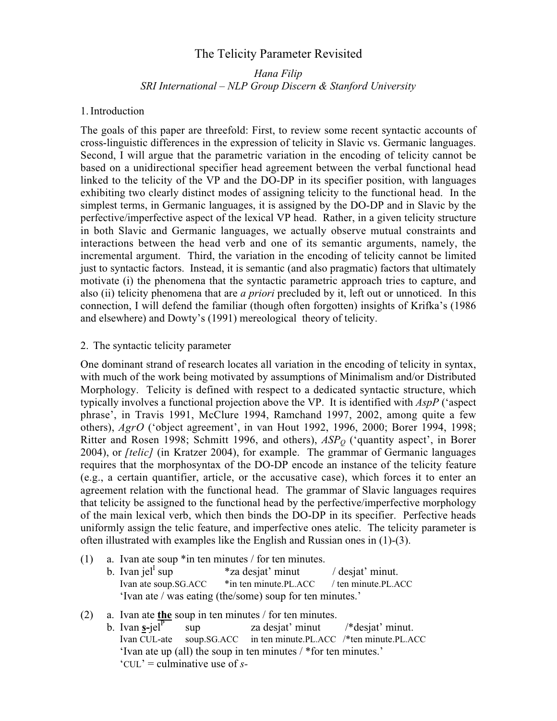# The Telicity Parameter Revisited

# Hana Filip SRI International – NLP Group Discern & Stanford University

## 1. Introduction

The goals of this paper are threefold: First, to review some recent syntactic accounts of cross-linguistic differences in the expression of telicity in Slavic vs. Germanic languages. Second, I will argue that the parametric variation in the encoding of telicity cannot be based on a unidirectional specifier head agreement between the verbal functional head linked to the telicity of the VP and the DO-DP in its specifier position, with languages exhibiting two clearly distinct modes of assigning telicity to the functional head. In the simplest terms, in Germanic languages, it is assigned by the DO-DP and in Slavic by the perfective/imperfective aspect of the lexical VP head. Rather, in a given telicity structure in both Slavic and Germanic languages, we actually observe mutual constraints and interactions between the head verb and one of its semantic arguments, namely, the incremental argument. Third, the variation in the encoding of telicity cannot be limited just to syntactic factors. Instead, it is semantic (and also pragmatic) factors that ultimately motivate (i) the phenomena that the syntactic parametric approach tries to capture, and also (ii) telicity phenomena that are *a priori* precluded by it, left out or unnoticed. In this connection, I will defend the familiar (though often forgotten) insights of Krifka's (1986 and elsewhere) and Dowty's (1991) mereological theory of telicity.

#### 2. The syntactic telicity parameter

One dominant strand of research locates all variation in the encoding of telicity in syntax, with much of the work being motivated by assumptions of Minimalism and/or Distributed Morphology. Telicity is defined with respect to a dedicated syntactic structure, which typically involves a functional projection above the VP. It is identified with  $AspP$  ('aspect phrase', in Travis 1991, McClure 1994, Ramchand 1997, 2002, among quite a few others), AgrO ('object agreement', in van Hout 1992, 1996, 2000; Borer 1994, 1998; Ritter and Rosen 1998; Schmitt 1996, and others),  $ASP<sub>O</sub>$  ('quantity aspect', in Borer 2004), or [telic] (in Kratzer 2004), for example. The grammar of Germanic languages requires that the morphosyntax of the DO-DP encode an instance of the telicity feature (e.g., a certain quantifier, article, or the accusative case), which forces it to enter an agreement relation with the functional head. The grammar of Slavic languages requires that telicity be assigned to the functional head by the perfective/imperfective morphology of the main lexical verb, which then binds the DO-DP in its specifier. Perfective heads uniformly assign the telic feature, and imperfective ones atelic. The telicity parameter is often illustrated with examples like the English and Russian ones in (1)-(3).

- (1) a. Ivan ate soup \*in ten minutes / for ten minutes.
	- b. Ivan jel $^I$  sup \*za desjat' minut / desjat' minut. Ivan ate soup.SG.ACC  $*$  in ten minute.PL.ACC / ten minute.PL.ACC 'Ivan ate / was eating (the/some) soup for ten minutes.'
- (2) a. Ivan ate the soup in ten minutes / for ten minutes.
	- b. Ivan  $\mathbf{s}-\mathrm{i}\mathbf{e}$ l<sup>P</sup> sup za desiat' minut /\*desiat' minut. Ivan CUL-ate soup.SG.ACC in ten minute.PL.ACC /\*ten minute.PL.ACC 'Ivan ate up (all) the soup in ten minutes / \*for ten minutes.'  $"CUL" = \text{cuminative use of } s$ -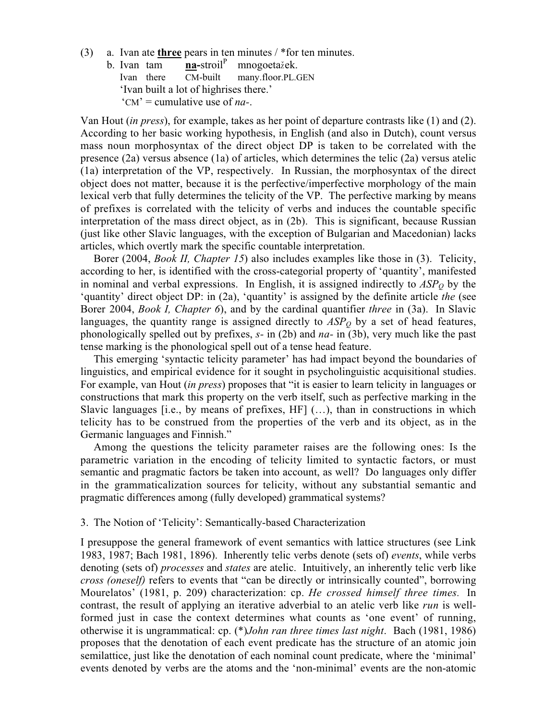- (3) a. Ivan ate three pears in ten minutes / \*for ten minutes.
	- b. Ivan tam  $\boldsymbol{\text{na}^\text{-} \text{stroil}}^P$  mnogoetažek.<br>Ivan there  $CM$ -built many.floor.pl. Ivan there CM-built many.floor.PL.GEN 'Ivan built a lot of highrises there.'  $C_M$  = cumulative use of *na*-.

Van Hout (in press), for example, takes as her point of departure contrasts like (1) and (2). According to her basic working hypothesis, in English (and also in Dutch), count versus mass noun morphosyntax of the direct object DP is taken to be correlated with the presence (2a) versus absence (1a) of articles, which determines the telic (2a) versus atelic (1a) interpretation of the VP, respectively. In Russian, the morphosyntax of the direct object does not matter, because it is the perfective/imperfective morphology of the main lexical verb that fully determines the telicity of the VP. The perfective marking by means of prefixes is correlated with the telicity of verbs and induces the countable specific interpretation of the mass direct object, as in (2b). This is significant, because Russian (just like other Slavic languages, with the exception of Bulgarian and Macedonian) lacks articles, which overtly mark the specific countable interpretation.

Borer (2004, *Book II, Chapter 15*) also includes examples like those in (3). Telicity, according to her, is identified with the cross-categorial property of 'quantity', manifested in nominal and verbal expressions. In English, it is assigned indirectly to  $ASP<sub>O</sub>$  by the 'quantity' direct object DP: in (2a), 'quantity' is assigned by the definite article the (see Borer 2004, *Book I, Chapter 6*), and by the cardinal quantifier *three* in (3a). In Slavic languages, the quantity range is assigned directly to  $ASP<sub>O</sub>$  by a set of head features, phonologically spelled out by prefixes,  $s$ - in (2b) and  $na$ - in (3b), very much like the past tense marking is the phonological spell out of a tense head feature.

This emerging 'syntactic telicity parameter' has had impact beyond the boundaries of linguistics, and empirical evidence for it sought in psycholinguistic acquisitional studies. For example, van Hout (in press) proposes that "it is easier to learn telicity in languages or constructions that mark this property on the verb itself, such as perfective marking in the Slavic languages [i.e., by means of prefixes, HF] (…), than in constructions in which telicity has to be construed from the properties of the verb and its object, as in the Germanic languages and Finnish."

Among the questions the telicity parameter raises are the following ones: Is the parametric variation in the encoding of telicity limited to syntactic factors, or must semantic and pragmatic factors be taken into account, as well? Do languages only differ in the grammaticalization sources for telicity, without any substantial semantic and pragmatic differences among (fully developed) grammatical systems?

## 3. The Notion of 'Telicity': Semantically-based Characterization

I presuppose the general framework of event semantics with lattice structures (see Link 1983, 1987; Bach 1981, 1896). Inherently telic verbs denote (sets of) events, while verbs denoting (sets of) *processes* and *states* are atelic. Intuitively, an inherently telic verb like cross (oneself) refers to events that "can be directly or intrinsically counted", borrowing Mourelatos' (1981, p. 209) characterization: cp. He crossed himself three times. In contrast, the result of applying an iterative adverbial to an atelic verb like *run* is wellformed just in case the context determines what counts as 'one event' of running, otherwise it is ungrammatical: cp. (\*)John ran three times last night. Bach (1981, 1986) proposes that the denotation of each event predicate has the structure of an atomic join semilattice, just like the denotation of each nominal count predicate, where the 'minimal' events denoted by verbs are the atoms and the 'non-minimal' events are the non-atomic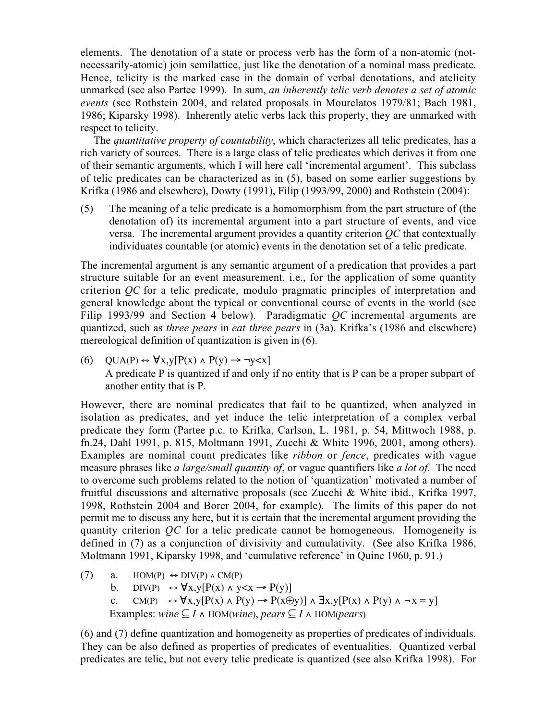elements. The denotation of a state or process verb has the form of a non-atomic (notnecessarily-atomic) join semilattice, just like the denotation of a nominal mass predicate. Hence, telicity is the marked case in the domain of verbal denotations, and atelicity unmarked (see also Partee 1999). In sum, an inherently telic verb denotes a set of atomic events (see Rothstein 2004, and related proposals in Mourelatos 1979/81; Bach 1981, 1986; Kiparsky 1998). Inherently atelic verbs lack this property, they are unmarked with respect to telicity.

The *quantitative property of countability*, which characterizes all telic predicates, has a rich variety of sources. There is a large class of telic predicates which derives it from one of their semantic arguments, which I will here call 'incremental argument'. This subclass of telic predicates can be characterized as in (5), based on some earlier suggestions by Krifka (1986 and elsewhere), Dowty (1991), Filip (1993/99, 2000) and Rothstein (2004):

(5) The meaning of a telic predicate is a homomorphism from the part structure of (the denotation of) its incremental argument into a part structure of events, and vice versa. The incremental argument provides a quantity criterion QC that contextually individuates countable (or atomic) events in the denotation set of a telic predicate.

The incremental argument is any semantic argument of a predication that provides a part structure suitable for an event measurement, i.e., for the application of some quantity criterion QC for a telic predicate, modulo pragmatic principles of interpretation and general knowledge about the typical or conventional course of events in the world (see Filip 1993/99 and Section 4 below). Paradigmatic  $QC$  incremental arguments are quantized, such as *three pears* in *eat three pears* in (3a). Krifka's (1986 and elsewhere) mereological definition of quantization is given in (6).

(6)  $QUA(P) \leftrightarrow \forall x, y[P(x) \land P(y) \rightarrow \neg y \leq x]$ A predicate P is quantized if and only if no entity that is P can be a proper subpart of another entity that is P.

However, there are nominal predicates that fail to be quantized, when analyzed in isolation as predicates, and yet induce the telic interpretation of a complex verbal predicate they form (Partee p.c. to Krifka, Carlson, L. 1981, p. 54, Mittwoch 1988, p. fn.24, Dahl 1991, p. 815, Moltmann 1991, Zucchi & White 1996, 2001, among others). Examples are nominal count predicates like ribbon or fence, predicates with vague measure phrases like *a large/small quantity of*, or vague quantifiers like *a lot of*. The need to overcome such problems related to the notion of 'quantization' motivated a number of fruitful discussions and alternative proposals (see Zucchi & White ibid., Krifka 1997, 1998, Rothstein 2004 and Borer 2004, for example). The limits of this paper do not permit me to discuss any here, but it is certain that the incremental argument providing the quantity criterion QC for a telic predicate cannot be homogeneous. Homogeneity is defined in (7) as a conjunction of divisivity and cumulativity. (See also Krifka 1986, Moltmann 1991, Kiparsky 1998, and 'cumulative reference' in Quine 1960, p. 91.)

(7) a. HOM(P)  $\leftrightarrow$  DIV(P)  $\land$  CM(P) b. DIV(P)  $\leftrightarrow \forall x, y [P(x) \land y \leq x \rightarrow P(y)]$ c. CM(P)  $\leftrightarrow \forall x, y [P(x) \land P(y) \rightarrow P(x \oplus y)] \land \exists x, y [P(x) \land P(y) \land \neg x = y]$ Examples: wine  $\subseteq I \land$  HOM(wine), pears  $\subseteq I \land$  HOM(pears)

(6) and (7) define quantization and homogeneity as properties of predicates of individuals. They can be also defined as properties of predicates of eventualities. Quantized verbal predicates are telic, but not every telic predicate is quantized (see also Krifka 1998). For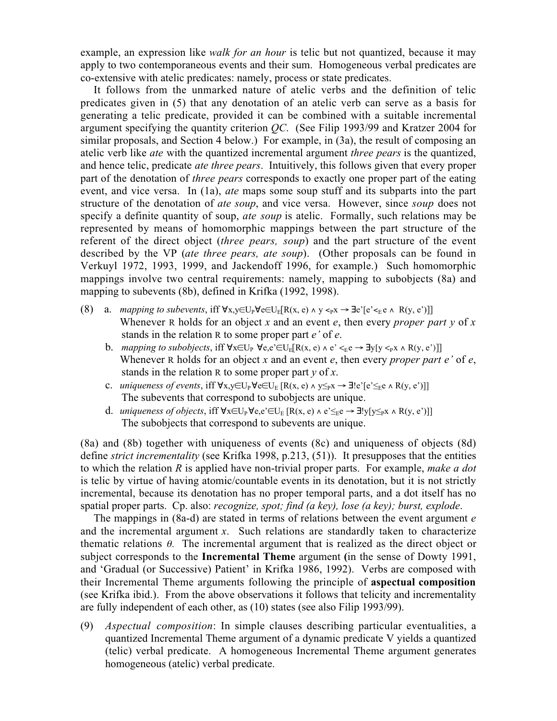example, an expression like *walk for an hour* is telic but not quantized, because it may apply to two contemporaneous events and their sum. Homogeneous verbal predicates are co-extensive with atelic predicates: namely, process or state predicates.

It follows from the unmarked nature of atelic verbs and the definition of telic predicates given in (5) that any denotation of an atelic verb can serve as a basis for generating a telic predicate, provided it can be combined with a suitable incremental argument specifying the quantity criterion QC. (See Filip 1993/99 and Kratzer 2004 for similar proposals, and Section 4 below.) For example, in (3a), the result of composing an atelic verb like *ate* with the quantized incremental argument *three pears* is the quantized, and hence telic, predicate ate three pears. Intuitively, this follows given that every proper part of the denotation of three pears corresponds to exactly one proper part of the eating event, and vice versa. In (1a), *ate* maps some soup stuff and its subparts into the part structure of the denotation of *ate soup*, and vice versa. However, since *soup* does not specify a definite quantity of soup, *ate soup* is atelic. Formally, such relations may be represented by means of homomorphic mappings between the part structure of the referent of the direct object *(three pears, soup)* and the part structure of the event described by the VP (ate three pears, ate soup). (Other proposals can be found in Verkuyl 1972, 1993, 1999, and Jackendoff 1996, for example.) Such homomorphic mappings involve two central requirements: namely, mapping to subobjects (8a) and mapping to subevents (8b), defined in Krifka (1992, 1998).

- (8) a. mapping to subevents, iff  $\forall x,y \in U_p \forall e \in U_E[R(x,e) \land y \leq p x \rightarrow \exists e' [e' \leq e \land R(y,e')]$ Whenever R holds for an object x and an event e, then every proper part y of x stands in the relation R to some proper part e' of e.
	- b. mapping to subobjects, iff  $\forall x \in U_P$   $\forall e, e' \in U_F[R(x, e) \land e' \leq_{E} e \rightarrow \exists y [y \leq_{P} x \land R(y, e')]$ Whenever R holds for an object x and an event e, then every proper part  $e'$  of  $e$ , stands in the relation R to some proper part  $v$  of x.
	- c. uniqueness of events, iff  $\forall x,y \in U_P \forall e \in U_E$   $[R(x, e) \land y \leq_P x \rightarrow \exists! e \in [e' \leq_E e \land R(y, e')]$ The subevents that correspond to subobjects are unique.
	- d. *uniqueness of objects*, iff  $\forall x \in U_P \forall e, e' \in U_E [R(x, e) \land e' \leq_E e \rightarrow \exists! y[y \leq_P x \land R(y, e')]$ The subobjects that correspond to subevents are unique.

(8a) and (8b) together with uniqueness of events (8c) and uniqueness of objects (8d) define *strict incrementality* (see Krifka 1998, p.213, (51)). It presupposes that the entities to which the relation  $R$  is applied have non-trivial proper parts. For example, make a dot is telic by virtue of having atomic/countable events in its denotation, but it is not strictly incremental, because its denotation has no proper temporal parts, and a dot itself has no spatial proper parts. Cp. also: recognize, spot; find (a key), lose (a key); burst, explode.

The mappings in  $(8a-d)$  are stated in terms of relations between the event argument  $e$ and the incremental argument  $x$ . Such relations are standardly taken to characterize thematic relations  $\theta$ . The incremental argument that is realized as the direct object or subject corresponds to the **Incremental Theme** argument (in the sense of Dowty 1991, and 'Gradual (or Successive) Patient' in Krifka 1986, 1992). Verbs are composed with their Incremental Theme arguments following the principle of aspectual composition (see Krifka ibid.). From the above observations it follows that telicity and incrementality are fully independent of each other, as (10) states (see also Filip 1993/99).

(9) Aspectual composition: In simple clauses describing particular eventualities, a quantized Incremental Theme argument of a dynamic predicate V yields a quantized (telic) verbal predicate. A homogeneous Incremental Theme argument generates homogeneous (atelic) verbal predicate.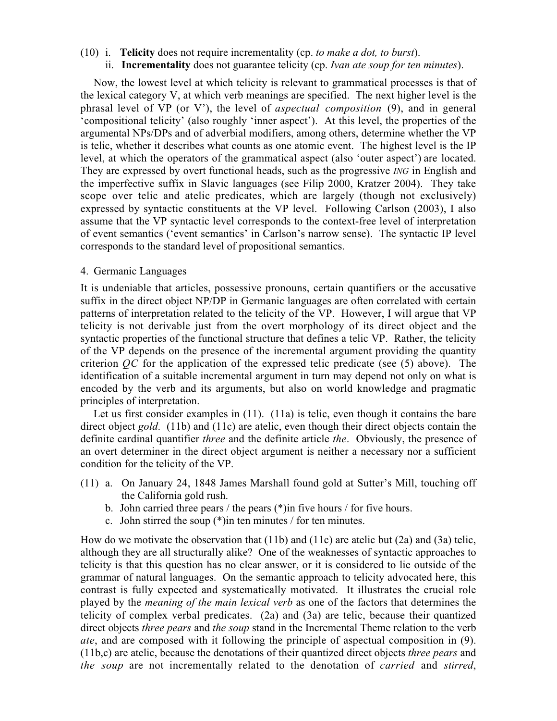- (10) i. Telicity does not require incrementality (cp. to make a dot, to burst).
	- ii. **Incrementality** does not guarantee telicity (cp. *Ivan ate soup for ten minutes*).

Now, the lowest level at which telicity is relevant to grammatical processes is that of the lexical category V, at which verb meanings are specified. The next higher level is the phrasal level of VP (or V'), the level of aspectual composition (9), and in general 'compositional telicity' (also roughly 'inner aspect'). At this level, the properties of the argumental NPs/DPs and of adverbial modifiers, among others, determine whether the VP is telic, whether it describes what counts as one atomic event. The highest level is the IP level, at which the operators of the grammatical aspect (also 'outer aspect') are located. They are expressed by overt functional heads, such as the progressive ING in English and the imperfective suffix in Slavic languages (see Filip 2000, Kratzer 2004). They take scope over telic and atelic predicates, which are largely (though not exclusively) expressed by syntactic constituents at the VP level. Following Carlson (2003), I also assume that the VP syntactic level corresponds to the context-free level of interpretation of event semantics ('event semantics' in Carlson's narrow sense). The syntactic IP level corresponds to the standard level of propositional semantics.

## 4. Germanic Languages

It is undeniable that articles, possessive pronouns, certain quantifiers or the accusative suffix in the direct object NP/DP in Germanic languages are often correlated with certain patterns of interpretation related to the telicity of the VP. However, I will argue that VP telicity is not derivable just from the overt morphology of its direct object and the syntactic properties of the functional structure that defines a telic VP. Rather, the telicity of the VP depends on the presence of the incremental argument providing the quantity criterion  $\overline{OC}$  for the application of the expressed telic predicate (see (5) above). The identification of a suitable incremental argument in turn may depend not only on what is encoded by the verb and its arguments, but also on world knowledge and pragmatic principles of interpretation.

Let us first consider examples in (11). (11a) is telic, even though it contains the bare direct object gold. (11b) and (11c) are atelic, even though their direct objects contain the definite cardinal quantifier three and the definite article the. Obviously, the presence of an overt determiner in the direct object argument is neither a necessary nor a sufficient condition for the telicity of the VP.

- (11) a. On January 24, 1848 James Marshall found gold at Sutter's Mill, touching off the California gold rush.
	- b. John carried three pears / the pears (\*)in five hours / for five hours.
	- c. John stirred the soup (\*)in ten minutes / for ten minutes.

How do we motivate the observation that (11b) and (11c) are atelic but (2a) and (3a) telic, although they are all structurally alike? One of the weaknesses of syntactic approaches to telicity is that this question has no clear answer, or it is considered to lie outside of the grammar of natural languages. On the semantic approach to telicity advocated here, this contrast is fully expected and systematically motivated. It illustrates the crucial role played by the meaning of the main lexical verb as one of the factors that determines the telicity of complex verbal predicates. (2a) and (3a) are telic, because their quantized direct objects *three pears* and *the soup* stand in the Incremental Theme relation to the verb ate, and are composed with it following the principle of aspectual composition in (9). (11b,c) are atelic, because the denotations of their quantized direct objects three pears and the soup are not incrementally related to the denotation of carried and stirred,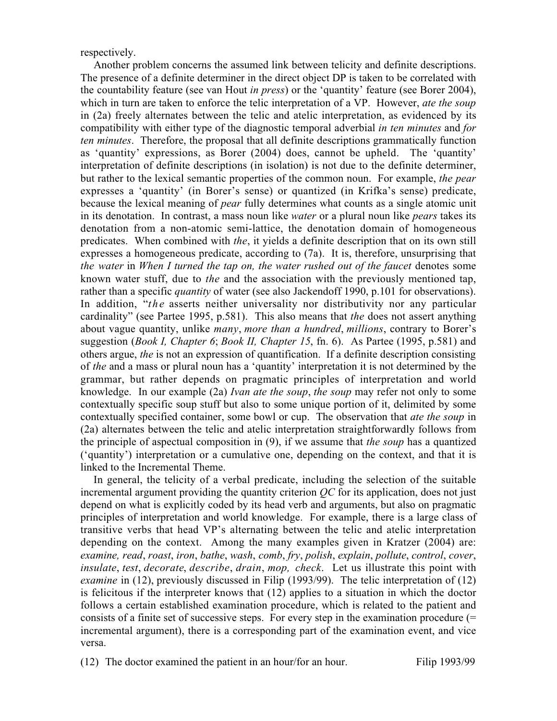respectively.

Another problem concerns the assumed link between telicity and definite descriptions. The presence of a definite determiner in the direct object DP is taken to be correlated with the countability feature (see van Hout in press) or the 'quantity' feature (see Borer 2004), which in turn are taken to enforce the telic interpretation of a VP. However, *ate the soup* in (2a) freely alternates between the telic and atelic interpretation, as evidenced by its compatibility with either type of the diagnostic temporal adverbial in ten minutes and for ten minutes. Therefore, the proposal that all definite descriptions grammatically function as 'quantity' expressions, as Borer (2004) does, cannot be upheld. The 'quantity' interpretation of definite descriptions (in isolation) is not due to the definite determiner, but rather to the lexical semantic properties of the common noun. For example, the pear expresses a 'quantity' (in Borer's sense) or quantized (in Krifka's sense) predicate, because the lexical meaning of pear fully determines what counts as a single atomic unit in its denotation. In contrast, a mass noun like *water* or a plural noun like *pears* takes its denotation from a non-atomic semi-lattice, the denotation domain of homogeneous predicates. When combined with the, it yields a definite description that on its own still expresses a homogeneous predicate, according to (7a). It is, therefore, unsurprising that the water in When I turned the tap on, the water rushed out of the faucet denotes some known water stuff, due to the and the association with the previously mentioned tap, rather than a specific *quantity* of water (see also Jackendoff 1990, p.101 for observations). In addition, "the asserts neither universality nor distributivity nor any particular cardinality" (see Partee 1995, p.581). This also means that the does not assert anything about vague quantity, unlike *many*, more than a hundred, millions, contrary to Borer's suggestion (*Book I, Chapter 6; Book II, Chapter 15, fn. 6*). As Partee (1995, p.581) and others argue, the is not an expression of quantification. If a definite description consisting of the and a mass or plural noun has a 'quantity' interpretation it is not determined by the grammar, but rather depends on pragmatic principles of interpretation and world knowledge. In our example (2a) Ivan ate the soup, the soup may refer not only to some contextually specific soup stuff but also to some unique portion of it, delimited by some contextually specified container, some bowl or cup. The observation that ate the soup in (2a) alternates between the telic and atelic interpretation straightforwardly follows from the principle of aspectual composition in (9), if we assume that the soup has a quantized ('quantity') interpretation or a cumulative one, depending on the context, and that it is linked to the Incremental Theme.

In general, the telicity of a verbal predicate, including the selection of the suitable incremental argument providing the quantity criterion  $OC$  for its application, does not just depend on what is explicitly coded by its head verb and arguments, but also on pragmatic principles of interpretation and world knowledge. For example, there is a large class of transitive verbs that head VP's alternating between the telic and atelic interpretation depending on the context. Among the many examples given in Kratzer (2004) are: examine, read, roast, iron, bathe, wash, comb, fry, polish, explain, pollute, control, cover, insulate, test, decorate, describe, drain, mop, check. Let us illustrate this point with examine in (12), previously discussed in Filip (1993/99). The telic interpretation of (12) is felicitous if the interpreter knows that (12) applies to a situation in which the doctor follows a certain established examination procedure, which is related to the patient and consists of a finite set of successive steps. For every step in the examination procedure (= incremental argument), there is a corresponding part of the examination event, and vice versa.

(12) The doctor examined the patient in an hour/for an hour. Filip 1993/99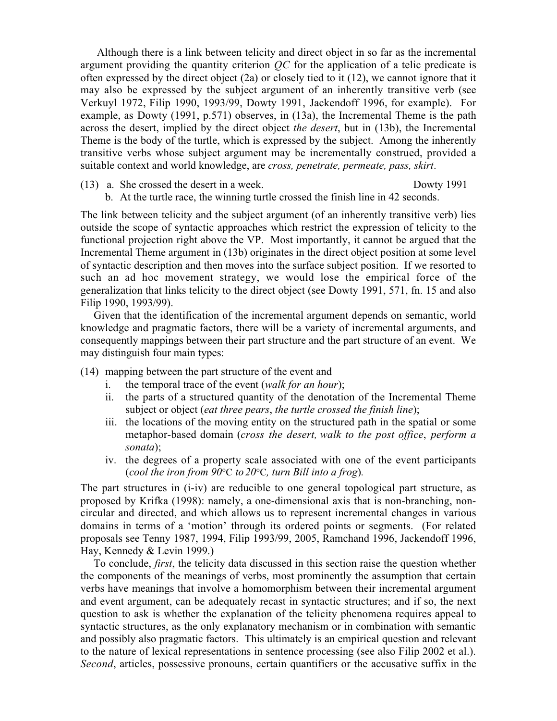Although there is a link between telicity and direct object in so far as the incremental argument providing the quantity criterion QC for the application of a telic predicate is often expressed by the direct object (2a) or closely tied to it (12), we cannot ignore that it may also be expressed by the subject argument of an inherently transitive verb (see Verkuyl 1972, Filip 1990, 1993/99, Dowty 1991, Jackendoff 1996, for example). For example, as Dowty (1991, p.571) observes, in (13a), the Incremental Theme is the path across the desert, implied by the direct object the desert, but in (13b), the Incremental Theme is the body of the turtle, which is expressed by the subject. Among the inherently transitive verbs whose subject argument may be incrementally construed, provided a suitable context and world knowledge, are cross, penetrate, permeate, pass, skirt.

(13) a. She crossed the desert in a week. Dowty 1991

b. At the turtle race, the winning turtle crossed the finish line in 42 seconds.

The link between telicity and the subject argument (of an inherently transitive verb) lies outside the scope of syntactic approaches which restrict the expression of telicity to the functional projection right above the VP. Most importantly, it cannot be argued that the Incremental Theme argument in (13b) originates in the direct object position at some level of syntactic description and then moves into the surface subject position. If we resorted to such an ad hoc movement strategy, we would lose the empirical force of the generalization that links telicity to the direct object (see Dowty 1991, 571, fn. 15 and also Filip 1990, 1993/99).

Given that the identification of the incremental argument depends on semantic, world knowledge and pragmatic factors, there will be a variety of incremental arguments, and consequently mappings between their part structure and the part structure of an event. We may distinguish four main types:

- (14) mapping between the part structure of the event and
	- i. the temporal trace of the event (walk for an hour);
	- ii. the parts of a structured quantity of the denotation of the Incremental Theme subject or object (*eat three pears*, *the turtle crossed the finish line*);
	- iii. the locations of the moving entity on the structured path in the spatial or some metaphor-based domain (cross the desert, walk to the post office, perform a sonata);
	- iv. the degrees of a property scale associated with one of the event participants (cool the iron from  $90^{\circ}$ C to  $20^{\circ}$ C, turn Bill into a frog).

The part structures in (i-iv) are reducible to one general topological part structure, as proposed by Krifka (1998): namely, a one-dimensional axis that is non-branching, noncircular and directed, and which allows us to represent incremental changes in various domains in terms of a 'motion' through its ordered points or segments. (For related proposals see Tenny 1987, 1994, Filip 1993/99, 2005, Ramchand 1996, Jackendoff 1996, Hay, Kennedy & Levin 1999.)

To conclude, first, the telicity data discussed in this section raise the question whether the components of the meanings of verbs, most prominently the assumption that certain verbs have meanings that involve a homomorphism between their incremental argument and event argument, can be adequately recast in syntactic structures; and if so, the next question to ask is whether the explanation of the telicity phenomena requires appeal to syntactic structures, as the only explanatory mechanism or in combination with semantic and possibly also pragmatic factors. This ultimately is an empirical question and relevant to the nature of lexical representations in sentence processing (see also Filip 2002 et al.). Second, articles, possessive pronouns, certain quantifiers or the accusative suffix in the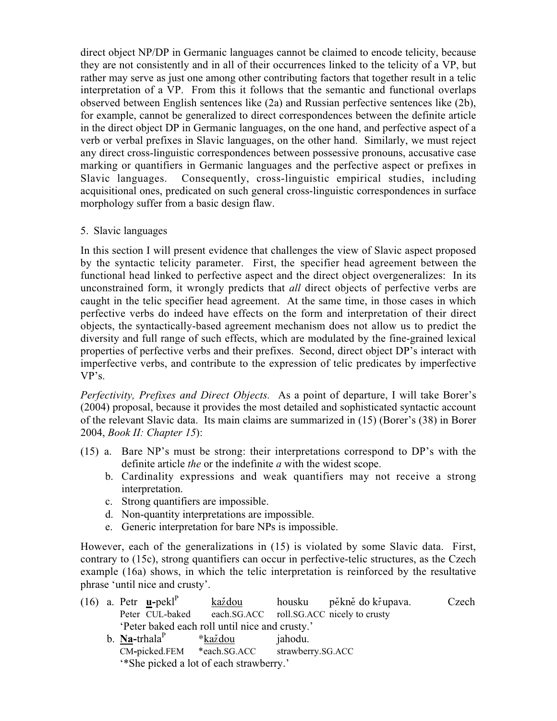direct object NP/DP in Germanic languages cannot be claimed to encode telicity, because they are not consistently and in all of their occurrences linked to the telicity of a VP, but rather may serve as just one among other contributing factors that together result in a telic interpretation of a VP. From this it follows that the semantic and functional overlaps observed between English sentences like (2a) and Russian perfective sentences like (2b), for example, cannot be generalized to direct correspondences between the definite article in the direct object DP in Germanic languages, on the one hand, and perfective aspect of a verb or verbal prefixes in Slavic languages, on the other hand. Similarly, we must reject any direct cross-linguistic correspondences between possessive pronouns, accusative case marking or quantifiers in Germanic languages and the perfective aspect or prefixes in Slavic languages. Consequently, cross-linguistic empirical studies, including acquisitional ones, predicated on such general cross-linguistic correspondences in surface morphology suffer from a basic design flaw.

5. Slavic languages

In this section I will present evidence that challenges the view of Slavic aspect proposed by the syntactic telicity parameter. First, the specifier head agreement between the functional head linked to perfective aspect and the direct object overgeneralizes: In its unconstrained form, it wrongly predicts that all direct objects of perfective verbs are caught in the telic specifier head agreement. At the same time, in those cases in which perfective verbs do indeed have effects on the form and interpretation of their direct objects, the syntactically-based agreement mechanism does not allow us to predict the diversity and full range of such effects, which are modulated by the fine-grained lexical properties of perfective verbs and their prefixes. Second, direct object DP's interact with imperfective verbs, and contribute to the expression of telic predicates by imperfective VP's.

Perfectivity, Prefixes and Direct Objects. As a point of departure, I will take Borer's (2004) proposal, because it provides the most detailed and sophisticated syntactic account of the relevant Slavic data. Its main claims are summarized in (15) (Borer's (38) in Borer 2004, Book II: Chapter 15):

- (15) a. Bare NP's must be strong: their interpretations correspond to DP's with the definite article the or the indefinite a with the widest scope.
	- b. Cardinality expressions and weak quantifiers may not receive a strong interpretation.
	- c. Strong quantifiers are impossible.
	- d. Non-quantity interpretations are impossible.
	- e. Generic interpretation for bare NPs is impossible.

However, each of the generalizations in (15) is violated by some Slavic data. First, contrary to (15c), strong quantifiers can occur in perfective-telic structures, as the Czech example (16a) shows, in which the telic interpretation is reinforced by the resultative phrase 'until nice and crusty'.

|  |                                                | (16) a. Petr $\mathbf{u}$ -pekl <sup>P</sup> | každou                          |                                          | housku pěkně do křupava. | Czech |  |  |  |
|--|------------------------------------------------|----------------------------------------------|---------------------------------|------------------------------------------|--------------------------|-------|--|--|--|
|  | Peter CUL-baked                                |                                              |                                 | each.SG.ACC roll.SG.ACC nicely to crusty |                          |       |  |  |  |
|  | 'Peter baked each roll until nice and crusty.' |                                              |                                 |                                          |                          |       |  |  |  |
|  |                                                | b. Na-trhala <sup>P</sup>                    | *každou                         | jahodu.                                  |                          |       |  |  |  |
|  |                                                |                                              | $CM$ -picked.FEM $*each.SG.ACC$ | strawberry.SG.ACC                        |                          |       |  |  |  |
|  | "She picked a lot of each strawberry."         |                                              |                                 |                                          |                          |       |  |  |  |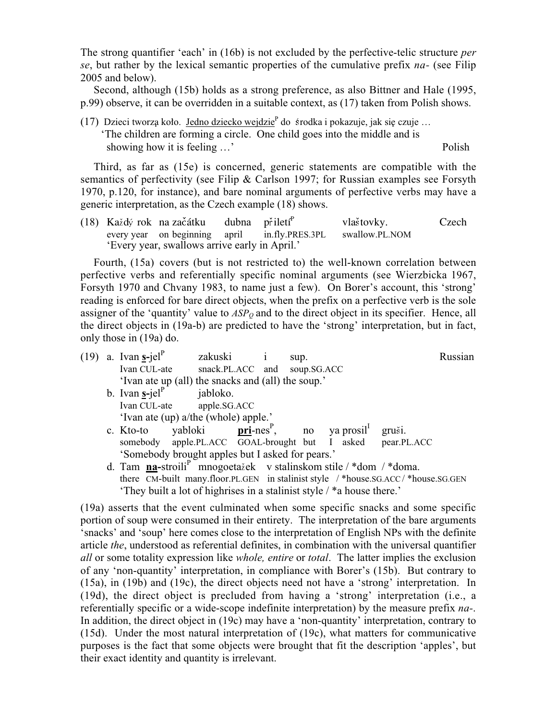The strong quantifier 'each' in (16b) is not excluded by the perfective-telic structure *per* se, but rather by the lexical semantic properties of the cumulative prefix na- (see Filip 2005 and below).

Second, although (15b) holds as a strong preference, as also Bittner and Hale (1995, p.99) observe, it can be overridden in a suitable context, as (17) taken from Polish shows.

(17) Dzieci tworzą koło. Jedno dziecko wejdzie<sup>p</sup> do środka i pokazuje, jak się czuje … 'The children are forming a circle. One child goes into the middle and is showing how it is feeling ...' Polish

Third, as far as (15e) is concerned, generic statements are compatible with the semantics of perfectivity (see Filip & Carlson 1997; for Russian examples see Forsyth 1970, p.120, for instance), and bare nominal arguments of perfective verbs may have a generic interpretation, as the Czech example (18) shows.

(18) Každý rok na začátku dubna přiletí<sup>P</sup> vlaštovky. Czech every year on beginning april in.fly.PRES.3PL swallow.PL.NOM 'Every year, swallows arrive early in April.'

Fourth, (15a) covers (but is not restricted to) the well-known correlation between perfective verbs and referentially specific nominal arguments (see Wierzbicka 1967, Forsyth 1970 and Chvany 1983, to name just a few). On Borer's account, this 'strong' reading is enforced for bare direct objects, when the prefix on a perfective verb is the sole assigner of the 'quantity' value to  $ASP<sub>O</sub>$  and to the direct object in its specifier. Hence, all the direct objects in (19a-b) are predicted to have the 'strong' interpretation, but in fact, only those in (19a) do.

|  |                                                                                                                                                           | $(19)$ a. Ivan s-jel <sup>P</sup>                                                | zakuski i |                              | sup. |  |  |  |  |  |  |  |  |
|--|-----------------------------------------------------------------------------------------------------------------------------------------------------------|----------------------------------------------------------------------------------|-----------|------------------------------|------|--|--|--|--|--|--|--|--|
|  |                                                                                                                                                           | Ivan CUL-ate                                                                     |           | snack.PL.ACC and soup.SG.ACC |      |  |  |  |  |  |  |  |  |
|  |                                                                                                                                                           | 'Ivan ate up (all) the snacks and (all) the soup.'                               |           |                              |      |  |  |  |  |  |  |  |  |
|  |                                                                                                                                                           | b. Ivan $\underline{\mathbf{s}}$ -jel <sup>P</sup> jabloko.                      |           |                              |      |  |  |  |  |  |  |  |  |
|  |                                                                                                                                                           | Ivan CUL-ate apple.SG.ACC                                                        |           |                              |      |  |  |  |  |  |  |  |  |
|  |                                                                                                                                                           |                                                                                  |           |                              |      |  |  |  |  |  |  |  |  |
|  |                                                                                                                                                           | c. Kto-to yabloki <b>pri-nes</b> <sup>P</sup> , no ya prosil <sup>1</sup> gruši. |           |                              |      |  |  |  |  |  |  |  |  |
|  |                                                                                                                                                           | somebody apple.PL.ACC GOAL-brought but I asked pear.PL.ACC                       |           |                              |      |  |  |  |  |  |  |  |  |
|  |                                                                                                                                                           | 'Somebody brought apples but I asked for pears.'                                 |           |                              |      |  |  |  |  |  |  |  |  |
|  |                                                                                                                                                           | d. Tam na-stroili <sup>P</sup> mnogoetažek v stalinskom stile / *dom / *doma.    |           |                              |      |  |  |  |  |  |  |  |  |
|  | there CM-built many.floor.PL.GEN in stalinist style /*house.SG.ACC/*house.SG.GEN<br>'Thoy built a lot of highricos in a stalinist style / *a house there' |                                                                                  |           |                              |      |  |  |  |  |  |  |  |  |

They built a lot of highrises in a stalinist style  $\ell^*$  house there.

(19a) asserts that the event culminated when some specific snacks and some specific portion of soup were consumed in their entirety. The interpretation of the bare arguments 'snacks' and 'soup' here comes close to the interpretation of English NPs with the definite article the, understood as referential definites, in combination with the universal quantifier all or some totality expression like whole, entire or total. The latter implies the exclusion of any 'non-quantity' interpretation, in compliance with Borer's (15b). But contrary to (15a), in (19b) and (19c), the direct objects need not have a 'strong' interpretation. In (19d), the direct object is precluded from having a 'strong' interpretation (i.e., a referentially specific or a wide-scope indefinite interpretation) by the measure prefix na-. In addition, the direct object in (19c) may have a 'non-quantity' interpretation, contrary to (15d). Under the most natural interpretation of (19c), what matters for communicative purposes is the fact that some objects were brought that fit the description 'apples', but their exact identity and quantity is irrelevant.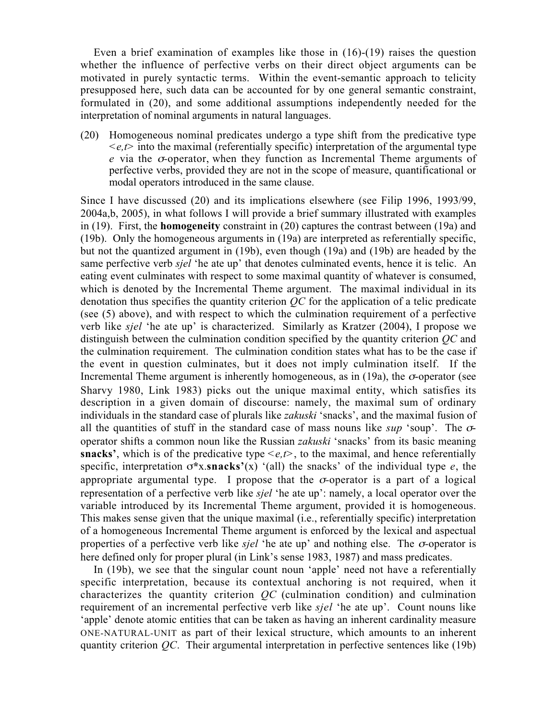Even a brief examination of examples like those in (16)-(19) raises the question whether the influence of perfective verbs on their direct object arguments can be motivated in purely syntactic terms. Within the event-semantic approach to telicity presupposed here, such data can be accounted for by one general semantic constraint, formulated in (20), and some additional assumptions independently needed for the interpretation of nominal arguments in natural languages.

(20) Homogeneous nominal predicates undergo a type shift from the predicative type  $\langle e, t \rangle$  into the maximal (referentially specific) interpretation of the argumental type e via the σ-operator, when they function as Incremental Theme arguments of perfective verbs, provided they are not in the scope of measure, quantificational or modal operators introduced in the same clause.

Since I have discussed (20) and its implications elsewhere (see Filip 1996, 1993/99, 2004a,b, 2005), in what follows I will provide a brief summary illustrated with examples in (19). First, the homogeneity constraint in (20) captures the contrast between (19a) and (19b). Only the homogeneous arguments in (19a) are interpreted as referentially specific, but not the quantized argument in (19b), even though (19a) and (19b) are headed by the same perfective verb *sjel* 'he ate up' that denotes culminated events, hence it is telic. An eating event culminates with respect to some maximal quantity of whatever is consumed, which is denoted by the Incremental Theme argument. The maximal individual in its denotation thus specifies the quantity criterion  $OC$  for the application of a telic predicate (see (5) above), and with respect to which the culmination requirement of a perfective verb like sjel 'he ate up' is characterized. Similarly as Kratzer (2004), I propose we distinguish between the culmination condition specified by the quantity criterion  $OC$  and the culmination requirement. The culmination condition states what has to be the case if the event in question culminates, but it does not imply culmination itself. If the Incremental Theme argument is inherently homogeneous, as in  $(19a)$ , the  $\sigma$ -operator (see Sharvy 1980, Link 1983) picks out the unique maximal entity, which satisfies its description in a given domain of discourse: namely, the maximal sum of ordinary individuals in the standard case of plurals like zakuski 'snacks', and the maximal fusion of all the quantities of stuff in the standard case of mass nouns like  $\sup$  'soup'. The  $\sigma$ operator shifts a common noun like the Russian zakuski 'snacks' from its basic meaning snacks', which is of the predicative type  $\leq e, t$ , to the maximal, and hence referentially specific, interpretation  $\sigma^*$ x.snacks'(x) '(all) the snacks' of the individual type e, the appropriate argumental type. I propose that the  $\sigma$ -operator is a part of a logical representation of a perfective verb like sjel 'he ate up': namely, a local operator over the variable introduced by its Incremental Theme argument, provided it is homogeneous. This makes sense given that the unique maximal (i.e., referentially specific) interpretation of a homogeneous Incremental Theme argument is enforced by the lexical and aspectual properties of a perfective verb like sjel 'he ate up' and nothing else. The  $\sigma$ -operator is here defined only for proper plural (in Link's sense 1983, 1987) and mass predicates.

In (19b), we see that the singular count noun 'apple' need not have a referentially specific interpretation, because its contextual anchoring is not required, when it characterizes the quantity criterion  $QC$  (culmination condition) and culmination requirement of an incremental perfective verb like *siel* 'he ate up'. Count nouns like 'apple' denote atomic entities that can be taken as having an inherent cardinality measure ONE-NATURAL-UNIT as part of their lexical structure, which amounts to an inherent quantity criterion  $QC$ . Their argumental interpretation in perfective sentences like (19b)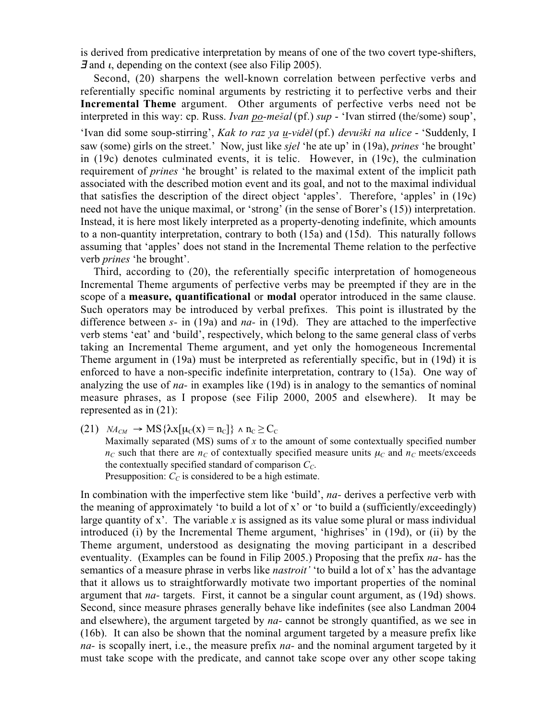is derived from predicative interpretation by means of one of the two covert type-shifters,  $\vec{J}$  and  $\iota$ , depending on the context (see also Filip 2005).

Second, (20) sharpens the well-known correlation between perfective verbs and referentially specific nominal arguments by restricting it to perfective verbs and their Incremental Theme argument. Other arguments of perfective verbs need not be interpreted in this way: cp. Russ. *Ivan po-mešal* (pf.) sup - 'Ivan stirred (the/some) soup',

'Ivan did some soup-stirring', Kak to raz ya <u>u</u>-víděl (pf.) devuški na ulice - 'Suddenly, I saw (some) girls on the street.' Now, just like *sjel* 'he ate up' in (19a), *prines* 'he brought' in (19c) denotes culminated events, it is telic. However, in (19c), the culmination requirement of prines 'he brought' is related to the maximal extent of the implicit path associated with the described motion event and its goal, and not to the maximal individual that satisfies the description of the direct object 'apples'. Therefore, 'apples' in (19c) need not have the unique maximal, or 'strong' (in the sense of Borer's (15)) interpretation. Instead, it is here most likely interpreted as a property-denoting indefinite, which amounts to a non-quantity interpretation, contrary to both (15a) and (15d). This naturally follows assuming that 'apples' does not stand in the Incremental Theme relation to the perfective verb prines 'he brought'.

Third, according to (20), the referentially specific interpretation of homogeneous Incremental Theme arguments of perfective verbs may be preempted if they are in the scope of a measure, quantificational or modal operator introduced in the same clause. Such operators may be introduced by verbal prefixes. This point is illustrated by the difference between  $s$ - in (19a) and  $na$ - in (19d). They are attached to the imperfective verb stems 'eat' and 'build', respectively, which belong to the same general class of verbs taking an Incremental Theme argument, and yet only the homogeneous Incremental Theme argument in (19a) must be interpreted as referentially specific, but in (19d) it is enforced to have a non-specific indefinite interpretation, contrary to (15a). One way of analyzing the use of  $na$ - in examples like  $(19d)$  is in analogy to the semantics of nominal measure phrases, as I propose (see Filip 2000, 2005 and elsewhere). It may be represented as in (21):

(21)  $NA_{CM} \rightarrow MS\{\lambda x[\mu_C(x) = n_C]\}\wedge n_C \geq C_C$ Maximally separated (MS) sums of  $x$  to the amount of some contextually specified number  $n_c$  such that there are  $n_c$  of contextually specified measure units  $\mu_c$  and  $n_c$  meets/exceeds the contextually specified standard of comparison  $C_{\text{C}}$ . Presupposition:  $C<sub>C</sub>$  is considered to be a high estimate.

In combination with the imperfective stem like 'build', *na*- derives a perfective verb with the meaning of approximately 'to build a lot of x' or 'to build a (sufficiently/exceedingly) large quantity of x'. The variable x is assigned as its value some plural or mass individual introduced (i) by the Incremental Theme argument, 'highrises' in (19d), or (ii) by the Theme argument, understood as designating the moving participant in a described eventuality. (Examples can be found in Filip 2005.) Proposing that the prefix *na*- has the semantics of a measure phrase in verbs like *nastroit'* 'to build a lot of x' has the advantage that it allows us to straightforwardly motivate two important properties of the nominal argument that  $na$ - targets. First, it cannot be a singular count argument, as  $(19d)$  shows. Second, since measure phrases generally behave like indefinites (see also Landman 2004 and elsewhere), the argument targeted by  $na-$  cannot be strongly quantified, as we see in (16b). It can also be shown that the nominal argument targeted by a measure prefix like na- is scopally inert, i.e., the measure prefix na- and the nominal argument targeted by it must take scope with the predicate, and cannot take scope over any other scope taking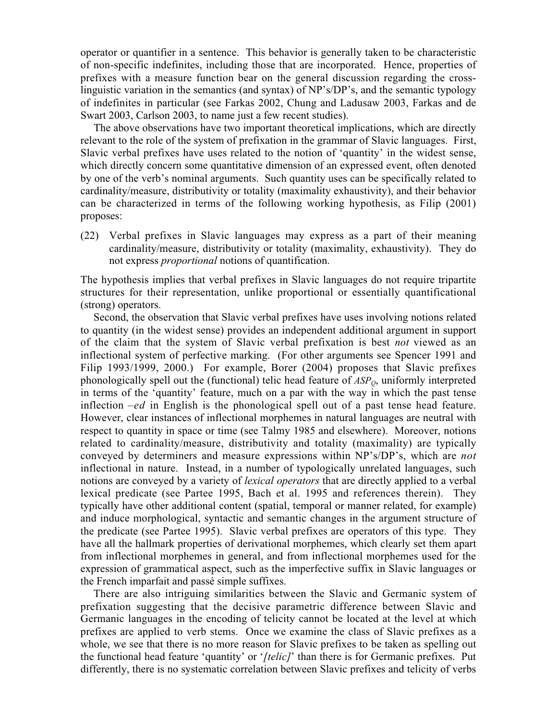operator or quantifier in a sentence. This behavior is generally taken to be characteristic of non-specific indefinites, including those that are incorporated. Hence, properties of prefixes with a measure function bear on the general discussion regarding the crosslinguistic variation in the semantics (and syntax) of NP's/DP's, and the semantic typology of indefinites in particular (see Farkas 2002, Chung and Ladusaw 2003, Farkas and de Swart 2003, Carlson 2003, to name just a few recent studies).

The above observations have two important theoretical implications, which are directly relevant to the role of the system of prefixation in the grammar of Slavic languages. First, Slavic verbal prefixes have uses related to the notion of 'quantity' in the widest sense, which directly concern some quantitative dimension of an expressed event, often denoted by one of the verb's nominal arguments. Such quantity uses can be specifically related to cardinality/measure, distributivity or totality (maximality exhaustivity), and their behavior can be characterized in terms of the following working hypothesis, as Filip (2001) proposes:

(22) Verbal prefixes in Slavic languages may express as a part of their meaning cardinality/measure, distributivity or totality (maximality, exhaustivity). They do not express proportional notions of quantification.

The hypothesis implies that verbal prefixes in Slavic languages do not require tripartite structures for their representation, unlike proportional or essentially quantificational (strong) operators.

Second, the observation that Slavic verbal prefixes have uses involving notions related to quantity (in the widest sense) provides an independent additional argument in support of the claim that the system of Slavic verbal prefixation is best not viewed as an inflectional system of perfective marking. (For other arguments see Spencer 1991 and Filip 1993/1999, 2000.) For example, Borer (2004) proposes that Slavic prefixes phonologically spell out the (functional) telic head feature of  $ASP<sub>O</sub>$ , uniformly interpreted in terms of the 'quantity' feature, much on a par with the way in which the past tense inflection  $-e$ d in English is the phonological spell out of a past tense head feature. However, clear instances of inflectional morphemes in natural languages are neutral with respect to quantity in space or time (see Talmy 1985 and elsewhere). Moreover, notions related to cardinality/measure, distributivity and totality (maximality) are typically conveyed by determiners and measure expressions within NP's/DP's, which are not inflectional in nature. Instead, in a number of typologically unrelated languages, such notions are conveyed by a variety of lexical operators that are directly applied to a verbal lexical predicate (see Partee 1995, Bach et al. 1995 and references therein). They typically have other additional content (spatial, temporal or manner related, for example) and induce morphological, syntactic and semantic changes in the argument structure of the predicate (see Partee 1995). Slavic verbal prefixes are operators of this type. They have all the hallmark properties of derivational morphemes, which clearly set them apart from inflectional morphemes in general, and from inflectional morphemes used for the expression of grammatical aspect, such as the imperfective suffix in Slavic languages or the French imparfait and passé simple suffixes.

There are also intriguing similarities between the Slavic and Germanic system of prefixation suggesting that the decisive parametric difference between Slavic and Germanic languages in the encoding of telicity cannot be located at the level at which prefixes are applied to verb stems. Once we examine the class of Slavic prefixes as a whole, we see that there is no more reason for Slavic prefixes to be taken as spelling out the functional head feature 'quantity' or '[telic]' than there is for Germanic prefixes. Put differently, there is no systematic correlation between Slavic prefixes and telicity of verbs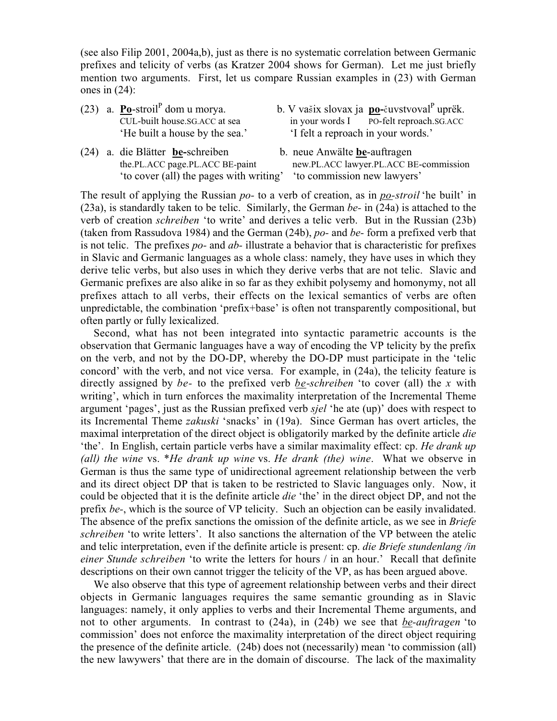(see also Filip 2001, 2004a,b), just as there is no systematic correlation between Germanic prefixes and telicity of verbs (as Kratzer 2004 shows for German). Let me just briefly mention two arguments. First, let us compare Russian examples in (23) with German ones in (24):

- (23) a. **Po**-stroil<sup>P</sup> dom u morya. CUL-built house.SG.ACC at sea
- (24) a. die Blätter be-schreiben b. neue Anwälte be-auftragen 'to cover (all) the pages with writing' 'to commission new lawyers'
- b. V vašix slovax ja  $\underline{\mathbf{po}}$ -čuvstvoval<sup>P</sup> uprëk.<br>in your words I PO-felt reproach.SG.ACC 'He built a house by the sea.' 'I felt a reproach in your words.'
	- the.PL.ACC page.PL.ACC BE-paint new.PL.ACC lawyer.PL.ACC BE-commission

The result of applying the Russian po- to a verb of creation, as in po-stroil 'he built' in (23a), is standardly taken to be telic. Similarly, the German  $be$ - in (24a) is attached to the verb of creation schreiben 'to write' and derives a telic verb. But in the Russian (23b) (taken from Rassudova 1984) and the German (24b), po- and be- form a prefixed verb that is not telic. The prefixes  $po$ - and  $ab$ - illustrate a behavior that is characteristic for prefixes in Slavic and Germanic languages as a whole class: namely, they have uses in which they derive telic verbs, but also uses in which they derive verbs that are not telic. Slavic and Germanic prefixes are also alike in so far as they exhibit polysemy and homonymy, not all prefixes attach to all verbs, their effects on the lexical semantics of verbs are often unpredictable, the combination 'prefix+base' is often not transparently compositional, but often partly or fully lexicalized.

Second, what has not been integrated into syntactic parametric accounts is the observation that Germanic languages have a way of encoding the VP telicity by the prefix on the verb, and not by the DO-DP, whereby the DO-DP must participate in the 'telic concord' with the verb, and not vice versa. For example, in (24a), the telicity feature is directly assigned by *be*- to the prefixed verb *be-schreiben* 'to cover (all) the x with writing', which in turn enforces the maximality interpretation of the Incremental Theme argument 'pages', just as the Russian prefixed verb sjel 'he ate (up)' does with respect to its Incremental Theme zakuski 'snacks' in (19a). Since German has overt articles, the maximal interpretation of the direct object is obligatorily marked by the definite article die 'the'. In English, certain particle verbs have a similar maximality effect: cp. He drank up (all) the wine vs. \*He drank up wine vs. He drank (the) wine. What we observe in German is thus the same type of unidirectional agreement relationship between the verb and its direct object DP that is taken to be restricted to Slavic languages only. Now, it could be objected that it is the definite article die 'the' in the direct object DP, and not the prefix be-, which is the source of VP telicity. Such an objection can be easily invalidated. The absence of the prefix sanctions the omission of the definite article, as we see in *Briefe* schreiben 'to write letters'. It also sanctions the alternation of the VP between the atelic and telic interpretation, even if the definite article is present: cp. die Briefe stundenlang /in einer Stunde schreiben 'to write the letters for hours / in an hour.' Recall that definite descriptions on their own cannot trigger the telicity of the VP, as has been argued above.

We also observe that this type of agreement relationship between verbs and their direct objects in Germanic languages requires the same semantic grounding as in Slavic languages: namely, it only applies to verbs and their Incremental Theme arguments, and not to other arguments. In contrast to (24a), in (24b) we see that be-auftragen 'to commission' does not enforce the maximality interpretation of the direct object requiring the presence of the definite article. (24b) does not (necessarily) mean 'to commission (all) the new lawywers' that there are in the domain of discourse. The lack of the maximality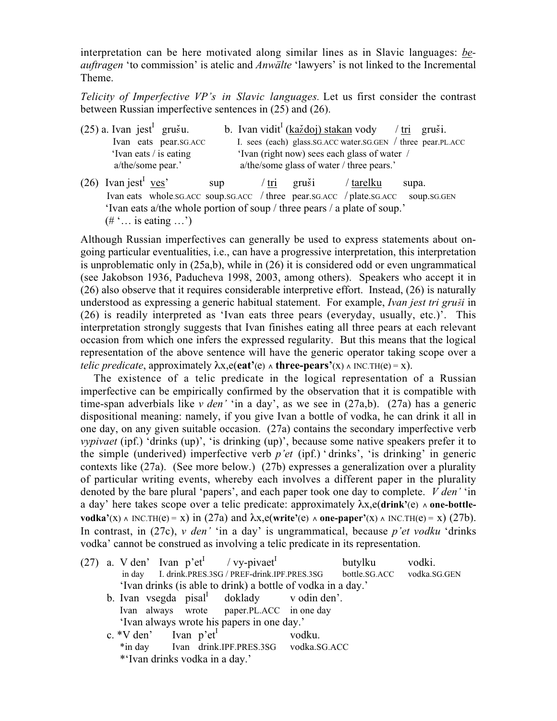interpretation can be here motivated along similar lines as in Slavic languages: beauftragen 'to commission' is atelic and Anwälte 'lawyers' is not linked to the Incremental Theme.

Telicity of Imperfective VP's in Slavic languages. Let us first consider the contrast between Russian imperfective sentences in (25) and (26).

| $(25)$ a. Ivan jest <sup>1</sup> grušu. |                       |     |                                              | b. Ivan vidit <sup>I</sup> (každoj) stakan vody / tri gruši. |           |       |  |  |  |
|-----------------------------------------|-----------------------|-----|----------------------------------------------|--------------------------------------------------------------|-----------|-------|--|--|--|
|                                         | Ivan eats pear.sg.ACC |     |                                              | I. sees (each) glass.sG.ACC water.sG.GEN / three pear.PL.ACC |           |       |  |  |  |
| 'Ivan eats / is eating                  |                       |     | 'Ivan (right now) sees each glass of water / |                                                              |           |       |  |  |  |
| a/the/some pear.'                       |                       |     | a/the/some glass of water / three pears.'    |                                                              |           |       |  |  |  |
| $(26)$ Ivan jest <sup>1</sup> ves'      |                       | sup | $\overline{\text{tri}}$                      | gruši                                                        | / tarelku | supa. |  |  |  |

Ivan eats whole.SG.ACC soup.SG.ACC / three pear.SG.ACC / plate.SG.ACC soup.SG.GEN 'Ivan eats a/the whole portion of soup / three pears / a plate of soup.'  $(\# \dots)$  is eating  $\ldots$ )

Although Russian imperfectives can generally be used to express statements about ongoing particular eventualities, i.e., can have a progressive interpretation, this interpretation is unproblematic only in (25a,b), while in (26) it is considered odd or even ungrammatical (see Jakobson 1936, Paducheva 1998, 2003, among others). Speakers who accept it in (26) also observe that it requires considerable interpretive effort. Instead, (26) is naturally understood as expressing a generic habitual statement. For example, Ivan jest tri gruši in (26) is readily interpreted as 'Ivan eats three pears (everyday, usually, etc.)'. This interpretation strongly suggests that Ivan finishes eating all three pears at each relevant occasion from which one infers the expressed regularity. But this means that the logical representation of the above sentence will have the generic operator taking scope over a telic predicate, approximately  $\lambda x, e(\text{eat'}(e) \wedge \text{three-pears'}(x) \wedge \text{INC.TH}(e) = x)$ .

The existence of a telic predicate in the logical representation of a Russian imperfective can be empirically confirmed by the observation that it is compatible with time-span adverbials like v den' 'in a day', as we see in  $(27a,b)$ .  $(27a)$  has a generic dispositional meaning: namely, if you give Ivan a bottle of vodka, he can drink it all in one day, on any given suitable occasion. (27a) contains the secondary imperfective verb vypivaet (ipf.) 'drinks (up)', 'is drinking (up)', because some native speakers prefer it to the simple (underived) imperfective verb  $p'et$  (ipf.) 'drinks', 'is drinking' in generic contexts like (27a). (See more below.) (27b) expresses a generalization over a plurality of particular writing events, whereby each involves a different paper in the plurality denoted by the bare plural 'papers', and each paper took one day to complete. *V den'* 'in a day' here takes scope over a telic predicate: approximately  $\lambda x, e$ (drink'(e)  $\wedge$  one-bottlevodka'(x)  $\land$  INC.TH(e) = x) in (27a) and  $\lambda x$ ,e(write'(e)  $\land$  one-paper'(x)  $\land$  INC.TH(e) = x) (27b). In contrast, in (27c),  $v$  den' 'in a day' is ungrammatical, because p'et vodku 'drinks vodka' cannot be construed as involving a telic predicate in its representation.

|  |                                                              |                                     |  |  | (27) a. V den' Ivan $p'et'$ / vy-pivaet <sup>I</sup> |        | butylku | vodki.                     |  |  |  |
|--|--------------------------------------------------------------|-------------------------------------|--|--|------------------------------------------------------|--------|---------|----------------------------|--|--|--|
|  |                                                              |                                     |  |  | in day I. drink.PRES.3SG / PREF-drink.IPF.PRES.3SG   |        |         | bottle.SG.ACC vodka.SG.GEN |  |  |  |
|  | 'Ivan drinks (is able to drink) a bottle of vodka in a day.' |                                     |  |  |                                                      |        |         |                            |  |  |  |
|  |                                                              |                                     |  |  | b. Ivan vsegda $pisal1$ doklady v odin den'.         |        |         |                            |  |  |  |
|  |                                                              |                                     |  |  | Ivan always wrote paper.PL.ACC in one day            |        |         |                            |  |  |  |
|  | 'Ivan always wrote his papers in one day.'                   |                                     |  |  |                                                      |        |         |                            |  |  |  |
|  |                                                              | c. $*V$ den' Ivan p'et <sup>1</sup> |  |  |                                                      | vodku. |         |                            |  |  |  |
|  |                                                              |                                     |  |  | *in day Ivan drink.IPF.PRES.3SG vodka.SG.ACC         |        |         |                            |  |  |  |
|  |                                                              | *'Ivan drinks vodka in a day.'      |  |  |                                                      |        |         |                            |  |  |  |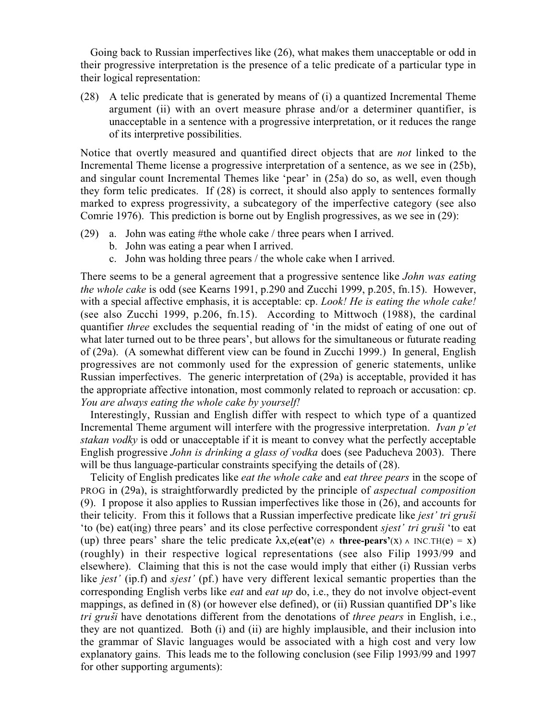Going back to Russian imperfectives like (26), what makes them unacceptable or odd in their progressive interpretation is the presence of a telic predicate of a particular type in their logical representation:

(28) A telic predicate that is generated by means of (i) a quantized Incremental Theme argument (ii) with an overt measure phrase and/or a determiner quantifier, is unacceptable in a sentence with a progressive interpretation, or it reduces the range of its interpretive possibilities.

Notice that overtly measured and quantified direct objects that are not linked to the Incremental Theme license a progressive interpretation of a sentence, as we see in (25b), and singular count Incremental Themes like 'pear' in (25a) do so, as well, even though they form telic predicates. If (28) is correct, it should also apply to sentences formally marked to express progressivity, a subcategory of the imperfective category (see also Comrie 1976). This prediction is borne out by English progressives, as we see in (29):

- (29) a. John was eating #the whole cake / three pears when I arrived.
	- b. John was eating a pear when I arrived.
	- c. John was holding three pears / the whole cake when I arrived.

There seems to be a general agreement that a progressive sentence like *John was eating* the whole cake is odd (see Kearns 1991, p.290 and Zucchi 1999, p.205, fn.15). However, with a special affective emphasis, it is acceptable: cp. *Look! He is eating the whole cake!* (see also Zucchi 1999, p.206, fn.15). According to Mittwoch (1988), the cardinal quantifier three excludes the sequential reading of 'in the midst of eating of one out of what later turned out to be three pears', but allows for the simultaneous or futurate reading of (29a). (A somewhat different view can be found in Zucchi 1999.) In general, English progressives are not commonly used for the expression of generic statements, unlike Russian imperfectives. The generic interpretation of (29a) is acceptable, provided it has the appropriate affective intonation, most commonly related to reproach or accusation: cp. You are always eating the whole cake by yourself!

Interestingly, Russian and English differ with respect to which type of a quantized Incremental Theme argument will interfere with the progressive interpretation. Ivan p'et stakan vodky is odd or unacceptable if it is meant to convey what the perfectly acceptable English progressive John is drinking a glass of vodka does (see Paducheva 2003). There will be thus language-particular constraints specifying the details of  $(28)$ .

Telicity of English predicates like eat the whole cake and eat three pears in the scope of PROG in (29a), is straightforwardly predicted by the principle of aspectual composition (9). I propose it also applies to Russian imperfectives like those in (26), and accounts for their telicity. From this it follows that a Russian imperfective predicate like *jest' tri gruši* 'to (be) eat(ing) three pears' and its close perfective correspondent sjest' tri grußi 'to eat (up) three pears' share the telic predicate  $\lambda x, e(\text{eat'}(e) \wedge \text{three-pears'}(x) \wedge \text{INC.TH}(e) = x)$ (roughly) in their respective logical representations (see also Filip 1993/99 and elsewhere). Claiming that this is not the case would imply that either (i) Russian verbs like *jest'* (ip.f) and *sjest'* (pf.) have very different lexical semantic properties than the corresponding English verbs like *eat* and *eat up* do, i.e., they do not involve object-event mappings, as defined in (8) (or however else defined), or (ii) Russian quantified DP's like tri gruši have denotations different from the denotations of *three pears* in English, i.e., they are not quantized. Both (i) and (ii) are highly implausible, and their inclusion into the grammar of Slavic languages would be associated with a high cost and very low explanatory gains. This leads me to the following conclusion (see Filip 1993/99 and 1997 for other supporting arguments):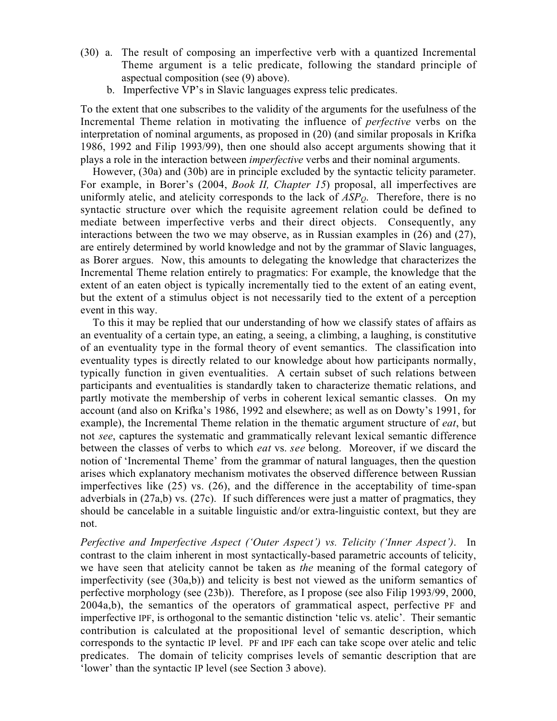- (30) a. The result of composing an imperfective verb with a quantized Incremental Theme argument is a telic predicate, following the standard principle of aspectual composition (see (9) above).
	- b. Imperfective VP's in Slavic languages express telic predicates.

To the extent that one subscribes to the validity of the arguments for the usefulness of the Incremental Theme relation in motivating the influence of perfective verbs on the interpretation of nominal arguments, as proposed in (20) (and similar proposals in Krifka 1986, 1992 and Filip 1993/99), then one should also accept arguments showing that it plays a role in the interaction between imperfective verbs and their nominal arguments.

However, (30a) and (30b) are in principle excluded by the syntactic telicity parameter. For example, in Borer's (2004, Book II, Chapter 15) proposal, all imperfectives are uniformly atelic, and atelicity corresponds to the lack of  $ASP<sub>Q</sub>$ . Therefore, there is no syntactic structure over which the requisite agreement relation could be defined to mediate between imperfective verbs and their direct objects. Consequently, any interactions between the two we may observe, as in Russian examples in (26) and (27), are entirely determined by world knowledge and not by the grammar of Slavic languages, as Borer argues. Now, this amounts to delegating the knowledge that characterizes the Incremental Theme relation entirely to pragmatics: For example, the knowledge that the extent of an eaten object is typically incrementally tied to the extent of an eating event, but the extent of a stimulus object is not necessarily tied to the extent of a perception event in this way.

To this it may be replied that our understanding of how we classify states of affairs as an eventuality of a certain type, an eating, a seeing, a climbing, a laughing, is constitutive of an eventuality type in the formal theory of event semantics. The classification into eventuality types is directly related to our knowledge about how participants normally, typically function in given eventualities. A certain subset of such relations between participants and eventualities is standardly taken to characterize thematic relations, and partly motivate the membership of verbs in coherent lexical semantic classes. On my account (and also on Krifka's 1986, 1992 and elsewhere; as well as on Dowty's 1991, for example), the Incremental Theme relation in the thematic argument structure of eat, but not see, captures the systematic and grammatically relevant lexical semantic difference between the classes of verbs to which eat vs. see belong. Moreover, if we discard the notion of 'Incremental Theme' from the grammar of natural languages, then the question arises which explanatory mechanism motivates the observed difference between Russian imperfectives like (25) vs. (26), and the difference in the acceptability of time-span adverbials in (27a,b) vs. (27c). If such differences were just a matter of pragmatics, they should be cancelable in a suitable linguistic and/or extra-linguistic context, but they are not.

Perfective and Imperfective Aspect ('Outer Aspect') vs. Telicity ('Inner Aspect'). In contrast to the claim inherent in most syntactically-based parametric accounts of telicity, we have seen that atelicity cannot be taken as the meaning of the formal category of imperfectivity (see (30a,b)) and telicity is best not viewed as the uniform semantics of perfective morphology (see (23b)). Therefore, as I propose (see also Filip 1993/99, 2000, 2004a,b), the semantics of the operators of grammatical aspect, perfective PF and imperfective IPF, is orthogonal to the semantic distinction 'telic vs. atelic'. Their semantic contribution is calculated at the propositional level of semantic description, which corresponds to the syntactic IP level. PF and IPF each can take scope over atelic and telic predicates. The domain of telicity comprises levels of semantic description that are 'lower' than the syntactic IP level (see Section 3 above).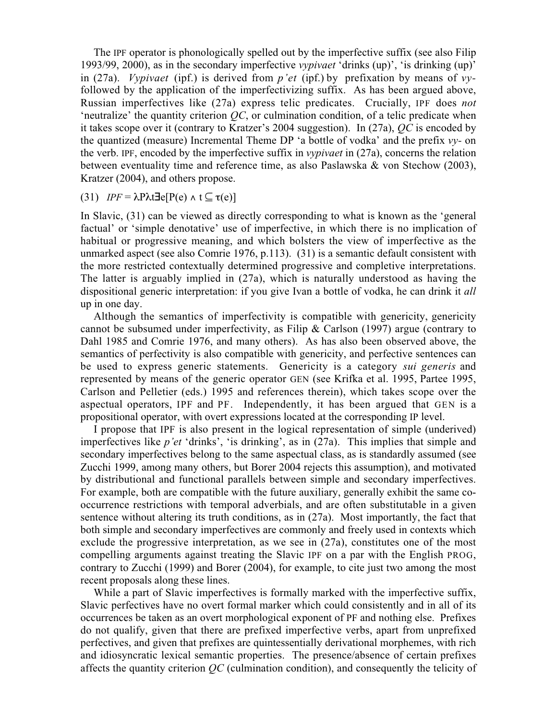The IPF operator is phonologically spelled out by the imperfective suffix (see also Filip 1993/99, 2000), as in the secondary imperfective vypivaet 'drinks (up)', 'is drinking (up)' in (27a). Vypivaet (ipf.) is derived from  $p'et$  (ipf.) by prefixation by means of vyfollowed by the application of the imperfectivizing suffix. As has been argued above, Russian imperfectives like (27a) express telic predicates. Crucially, IPF does not 'neutralize' the quantity criterion  $QC$ , or culmination condition, of a telic predicate when it takes scope over it (contrary to Kratzer's 2004 suggestion). In (27a), QC is encoded by the quantized (measure) Incremental Theme DP 'a bottle of vodka' and the prefix  $v\mathbf{v}$ - on the verb. IPF, encoded by the imperfective suffix in vypivaet in (27a), concerns the relation between eventuality time and reference time, as also Paslawska & von Stechow (2003), Kratzer (2004), and others propose.

(31)  $IPF = \lambda P \lambda t \exists e [P(e) \land t \subseteq \tau(e)]$ 

In Slavic, (31) can be viewed as directly corresponding to what is known as the 'general factual' or 'simple denotative' use of imperfective, in which there is no implication of habitual or progressive meaning, and which bolsters the view of imperfective as the unmarked aspect (see also Comrie 1976, p.113). (31) is a semantic default consistent with the more restricted contextually determined progressive and completive interpretations. The latter is arguably implied in (27a), which is naturally understood as having the dispositional generic interpretation: if you give Ivan a bottle of vodka, he can drink it all up in one day.

Although the semantics of imperfectivity is compatible with genericity, genericity cannot be subsumed under imperfectivity, as Filip & Carlson (1997) argue (contrary to Dahl 1985 and Comrie 1976, and many others). As has also been observed above, the semantics of perfectivity is also compatible with genericity, and perfective sentences can be used to express generic statements. Genericity is a category sui generis and represented by means of the generic operator GEN (see Krifka et al. 1995, Partee 1995, Carlson and Pelletier (eds.) 1995 and references therein), which takes scope over the aspectual operators, IPF and PF. Independently, it has been argued that GEN is a propositional operator, with overt expressions located at the corresponding IP level.

I propose that IPF is also present in the logical representation of simple (underived) imperfectives like p'et 'drinks', 'is drinking', as in (27a). This implies that simple and secondary imperfectives belong to the same aspectual class, as is standardly assumed (see Zucchi 1999, among many others, but Borer 2004 rejects this assumption), and motivated by distributional and functional parallels between simple and secondary imperfectives. For example, both are compatible with the future auxiliary, generally exhibit the same cooccurrence restrictions with temporal adverbials, and are often substitutable in a given sentence without altering its truth conditions, as in (27a). Most importantly, the fact that both simple and secondary imperfectives are commonly and freely used in contexts which exclude the progressive interpretation, as we see in (27a), constitutes one of the most compelling arguments against treating the Slavic IPF on a par with the English PROG, contrary to Zucchi (1999) and Borer (2004), for example, to cite just two among the most recent proposals along these lines.

While a part of Slavic imperfectives is formally marked with the imperfective suffix, Slavic perfectives have no overt formal marker which could consistently and in all of its occurrences be taken as an overt morphological exponent of PF and nothing else. Prefixes do not qualify, given that there are prefixed imperfective verbs, apart from unprefixed perfectives, and given that prefixes are quintessentially derivational morphemes, with rich and idiosyncratic lexical semantic properties. The presence/absence of certain prefixes affects the quantity criterion  $OC$  (culmination condition), and consequently the telicity of